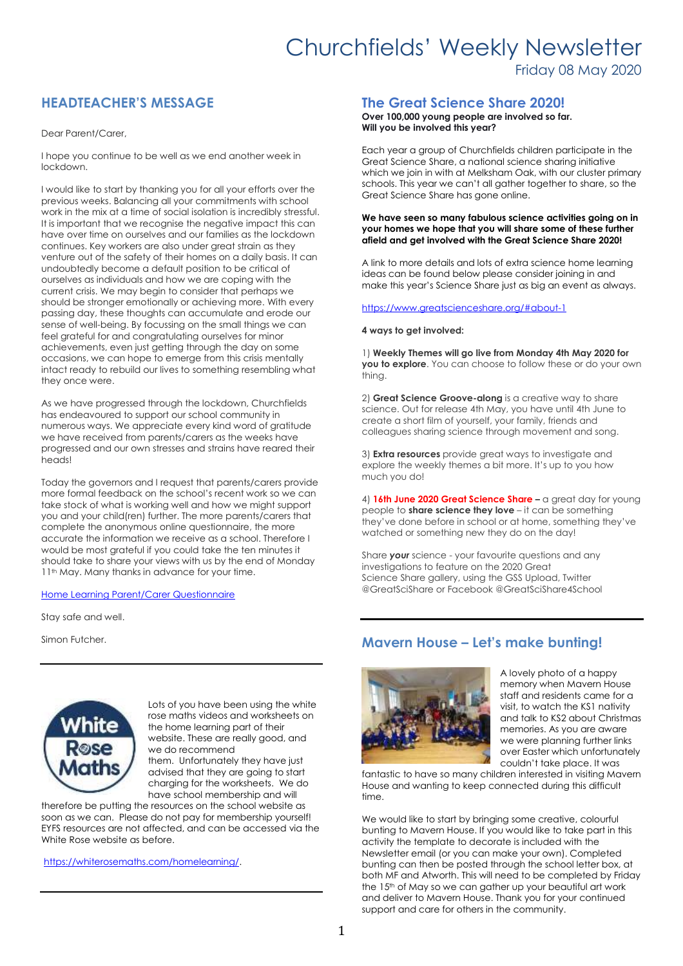# Churchfields' Weekly Newsletter Friday 08 May 2020

## **HEADTEACHER'S MESSAGE**

Dear Parent/Carer,

I hope you continue to be well as we end another week in lockdown.

I would like to start by thanking you for all your efforts over the previous weeks. Balancing all your commitments with school work in the mix at a time of social isolation is incredibly stressful. It is important that we recognise the negative impact this can have over time on ourselves and our families as the lockdown continues. Key workers are also under great strain as they venture out of the safety of their homes on a daily basis. It can undoubtedly become a default position to be critical of ourselves as individuals and how we are coping with the current crisis. We may begin to consider that perhaps we should be stronger emotionally or achieving more. With every passing day, these thoughts can accumulate and erode our sense of well-being. By focussing on the small things we can feel grateful for and congratulating ourselves for minor achievements, even just getting through the day on some occasions, we can hope to emerge from this crisis mentally intact ready to rebuild our lives to something resembling what they once were.

As we have progressed through the lockdown, Churchfields has endeavoured to support our school community in numerous ways. We appreciate every kind word of gratitude we have received from parents/carers as the weeks have progressed and our own stresses and strains have reared their heads!

Today the governors and I request that parents/carers provide more formal feedback on the school's recent work so we can take stock of what is working well and how we might support you and your child(ren) further. The more parents/carers that complete the anonymous online questionnaire, the more accurate the information we receive as a school. Therefore I would be most grateful if you could take the ten minutes it should take to share your views with us by the end of Monday 11<sup>th</sup> May. Many thanks in advance for your time.

#### Home Learning Parent/Carer [Questionnaire](https://forms.office.com/Pages/ResponsePage.aspx?id=wX_8VgxCyEyz5LlTQBj1slW7UN-vuWFPpxs8-uh9uoJUOVo0REVQQTU0Tjg5SjM4NTBCSDJYNExUSy4u)

Stay safe and well.

Simon Futcher.



Lots of you have been using the white rose maths videos and worksheets on the home learning part of their website. These are really good, and we do recommend them. Unfortunately they have just

advised that they are going to start charging for the worksheets. We do have school membership and will

therefore be putting the resources on the school website as soon as we can. Please do not pay for membership yourself! EYFS resources are not affected, and can be accessed via the White Rose website as before.

[https://whiterosemaths.com/homelearning/.](https://whiterosemaths.com/homelearning/)

#### **The Great Science Share 2020!**

**Over 100,000 young people are involved so far. Will you be involved this year?**

Each year a group of Churchfields children participate in the Great Science Share, a national science sharing initiative which we join in with at Melksham Oak, with our cluster primary schools. This year we can't all gather together to share, so the Great Science Share has gone online.

#### **We have seen so many fabulous science activities going on in your homes we hope that you will share some of these further afield and get involved with the Great Science Share 2020!**

A link to more details and lots of extra science home learning ideas can be found below please consider joining in and make this year's Science Share just as big an event as always.

#### <https://www.greatscienceshare.org/#about-1>

#### **4 ways to get involved:**

1) **Weekly Themes will go live from Monday 4th May 2020 for you to explore**. You can choose to follow these or do your own thing.

2) **Great Science Groove-along** is a creative way to share science. Out for release 4th May, you have until 4th June to create a short film of yourself, your family, friends and colleagues sharing science through movement and song.

3) **Extra resources** provide great ways to investigate and explore the weekly themes a bit more. It's up to you how much you do!

4) **16th June 2020 Great Science Share –** a great day for young people to **share science they love** – it can be something they've done before in school or at home, something they've watched or something new they do on the day!

Share *your* science - your favourite questions and any investigations to feature on the 2020 Great Science Share gallery, using the GSS Upload, Twitter @GreatSciShare or Facebook @GreatSciShare4School

## **Mavern House – Let's make bunting!**



A lovely photo of a happy memory when Mavern House staff and residents came for a visit, to watch the KS1 nativity and talk to KS2 about Christmas memories. As you are aware we were planning further links over Easter which unfortunately couldn't take place. It was

fantastic to have so many children interested in visiting Mavern House and wanting to keep connected during this difficult time.

We would like to start by bringing some creative, colourful bunting to Mavern House. If you would like to take part in this activity the template to decorate is included with the Newsletter email (or you can make your own). Completed bunting can then be posted through the school letter box, at both MF and Atworth. This will need to be completed by Friday the 15<sup>th</sup> of May so we can gather up your beautiful art work and deliver to Mavern House. Thank you for your continued support and care for others in the community.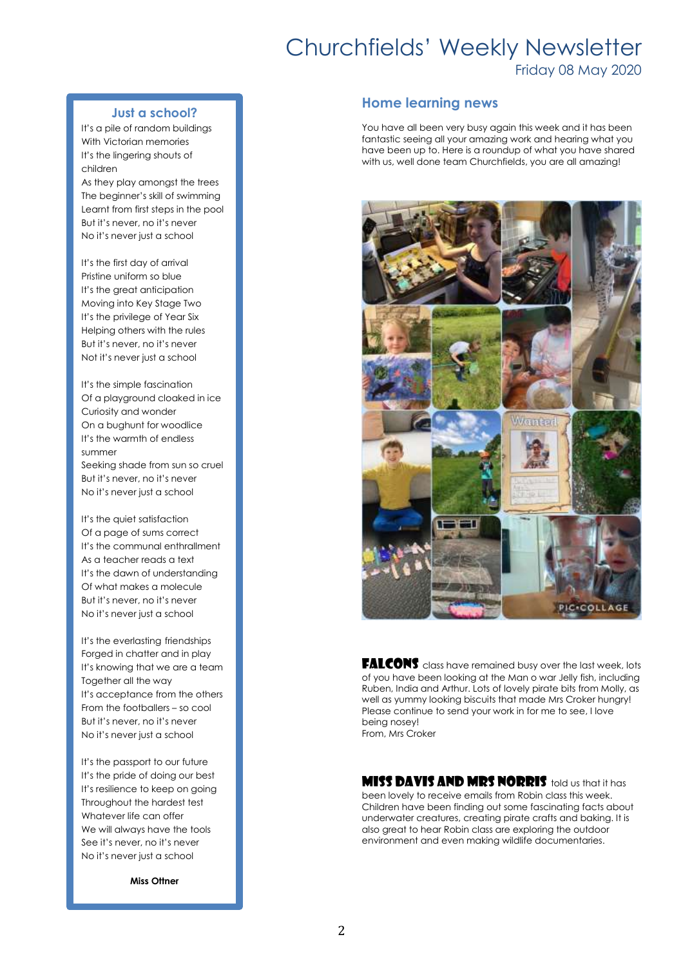# Churchfields' Weekly Newsletter

Friday 08 May 2020

#### **Just a school?**

It's a pile of random buildings With Victorian memories It's the lingering shouts of children

As they play amongst the trees The beginner's skill of swimming Learnt from first steps in the pool But it's never, no it's never No it's never just a school

It's the first day of arrival Pristine uniform so blue It's the great anticipation Moving into Key Stage Two It's the privilege of Year Six Helping others with the rules But it's never, no it's never Not it's never just a school

It's the simple fascination Of a playground cloaked in ice Curiosity and wonder On a bughunt for woodlice It's the warmth of endless summer Seeking shade from sun so cruel But it's never, no it's never No it's never just a school

It's the quiet satisfaction Of a page of sums correct It's the communal enthrallment As a teacher reads a text It's the dawn of understanding Of what makes a molecule But it's never, no it's never No it's never just a school

It's the everlasting friendships Forged in chatter and in play It's knowing that we are a team Together all the way It's acceptance from the others From the footballers – so cool But it's never, no it's never No it's never just a school

It's the passport to our future It's the pride of doing our best It's resilience to keep on going Throughout the hardest test Whatever life can offer We will always have the tools See it's never, no it's never No it's never just a school

**Miss Ottner**

#### **Home learning news**

You have all been very busy again this week and it has been fantastic seeing all your amazing work and hearing what you have been up to. Here is a roundup of what you have shared with us, well done team Churchfields, you are all amazing!



**FALCONS** class have remained busy over the last week, lots of you have been looking at the Man o war Jelly fish, including Ruben, India and Arthur. Lots of lovely pirate bits from Molly, as well as yummy looking biscuits that made Mrs Croker hungry! Please continue to send your work in for me to see, I love being nosey! From, Mrs Croker

**MISS DAVIS AND MRS NORRIS** told us that it has been lovely to receive emails from Robin class this week. Children have been finding out some fascinating facts about underwater creatures, creating pirate crafts and baking. It is also great to hear Robin class are exploring the outdoor environment and even making wildlife documentaries.